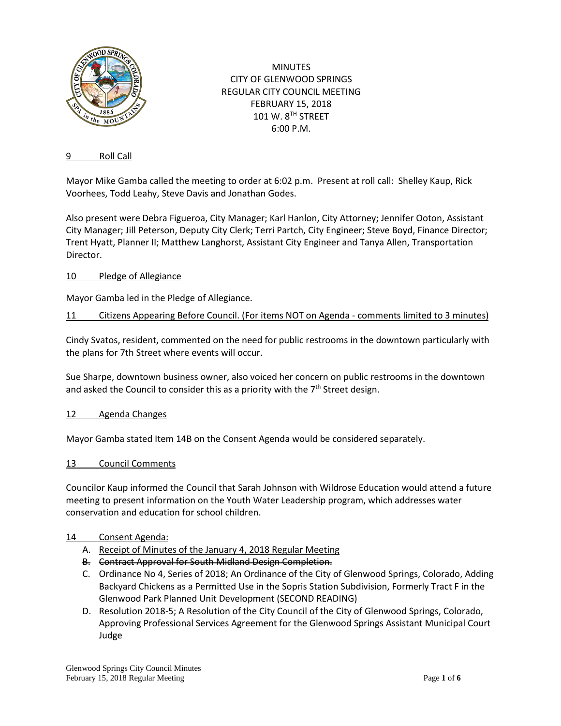

**MINUTES** CITY OF GLENWOOD SPRINGS REGULAR CITY COUNCIL MEETING FEBRUARY 15, 2018 101 W. 8TH STREET 6:00 P.M.

## 9 Roll Call

Mayor Mike Gamba called the meeting to order at 6:02 p.m. Present at roll call: Shelley Kaup, Rick Voorhees, Todd Leahy, Steve Davis and Jonathan Godes.

Also present were Debra Figueroa, City Manager; Karl Hanlon, City Attorney; Jennifer Ooton, Assistant City Manager; Jill Peterson, Deputy City Clerk; Terri Partch, City Engineer; Steve Boyd, Finance Director; Trent Hyatt, Planner II; Matthew Langhorst, Assistant City Engineer and Tanya Allen, Transportation Director.

#### 10 Pledge of Allegiance

Mayor Gamba led in the Pledge of Allegiance.

11 Citizens Appearing Before Council. (For items NOT on Agenda - comments limited to 3 minutes)

Cindy Svatos, resident, commented on the need for public restrooms in the downtown particularly with the plans for 7th Street where events will occur.

Sue Sharpe, downtown business owner, also voiced her concern on public restrooms in the downtown and asked the Council to consider this as a priority with the  $7<sup>th</sup>$  Street design.

#### 12 Agenda Changes

Mayor Gamba stated Item 14B on the Consent Agenda would be considered separately.

#### 13 Council Comments

Councilor Kaup informed the Council that Sarah Johnson with Wildrose Education would attend a future meeting to present information on the Youth Water Leadership program, which addresses water conservation and education for school children.

#### 14 Consent Agenda:

- A. Receipt of Minutes of the January 4, 2018 Regular Meeting
- B. Contract Approval for South Midland Design Completion.
- C. Ordinance No 4, Series of 2018; An Ordinance of the City of Glenwood Springs, Colorado, Adding Backyard Chickens as a Permitted Use in the Sopris Station Subdivision, Formerly Tract F in the Glenwood Park Planned Unit Development (SECOND READING)
- D. Resolution 2018-5; A Resolution of the City Council of the City of Glenwood Springs, Colorado, Approving Professional Services Agreement for the Glenwood Springs Assistant Municipal Court Judge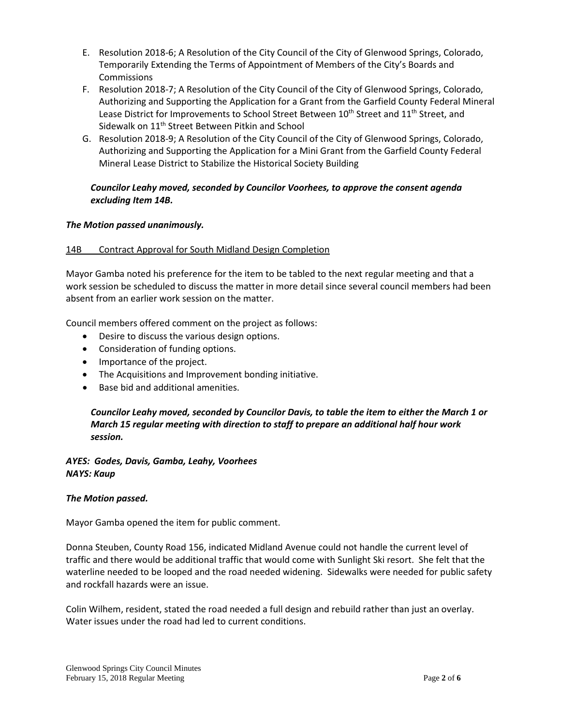- E. Resolution 2018-6; A Resolution of the City Council of the City of Glenwood Springs, Colorado, Temporarily Extending the Terms of Appointment of Members of the City's Boards and **Commissions**
- F. Resolution 2018-7; A Resolution of the City Council of the City of Glenwood Springs, Colorado, Authorizing and Supporting the Application for a Grant from the Garfield County Federal Mineral Lease District for Improvements to School Street Between  $10^{th}$  Street and  $11^{th}$  Street, and Sidewalk on 11<sup>th</sup> Street Between Pitkin and School
- G. Resolution 2018-9; A Resolution of the City Council of the City of Glenwood Springs, Colorado, Authorizing and Supporting the Application for a Mini Grant from the Garfield County Federal Mineral Lease District to Stabilize the Historical Society Building

# *Councilor Leahy moved, seconded by Councilor Voorhees, to approve the consent agenda excluding Item 14B.*

# *The Motion passed unanimously.*

## 14B Contract Approval for South Midland Design Completion

Mayor Gamba noted his preference for the item to be tabled to the next regular meeting and that a work session be scheduled to discuss the matter in more detail since several council members had been absent from an earlier work session on the matter.

Council members offered comment on the project as follows:

- Desire to discuss the various design options.
- Consideration of funding options.
- Importance of the project.
- The Acquisitions and Improvement bonding initiative.
- Base bid and additional amenities.

*Councilor Leahy moved, seconded by Councilor Davis, to table the item to either the March 1 or March 15 regular meeting with direction to staff to prepare an additional half hour work session.* 

## *AYES: Godes, Davis, Gamba, Leahy, Voorhees NAYS: Kaup*

## *The Motion passed.*

Mayor Gamba opened the item for public comment.

Donna Steuben, County Road 156, indicated Midland Avenue could not handle the current level of traffic and there would be additional traffic that would come with Sunlight Ski resort. She felt that the waterline needed to be looped and the road needed widening. Sidewalks were needed for public safety and rockfall hazards were an issue.

Colin Wilhem, resident, stated the road needed a full design and rebuild rather than just an overlay. Water issues under the road had led to current conditions.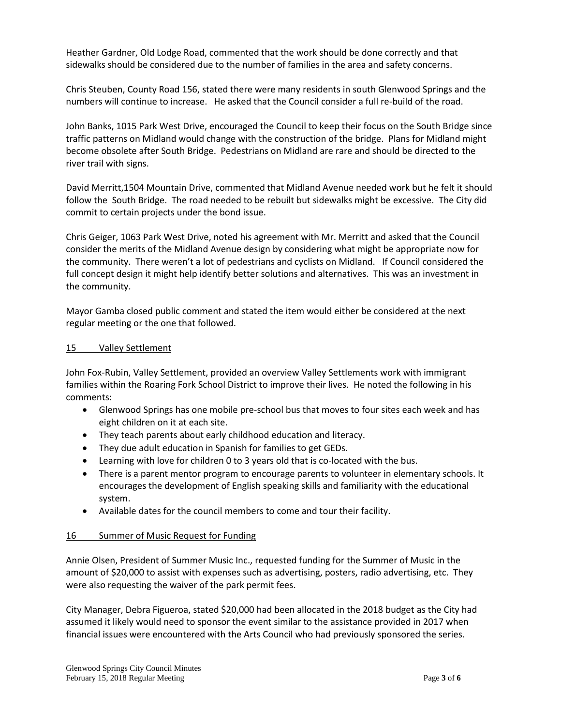Heather Gardner, Old Lodge Road, commented that the work should be done correctly and that sidewalks should be considered due to the number of families in the area and safety concerns.

Chris Steuben, County Road 156, stated there were many residents in south Glenwood Springs and the numbers will continue to increase. He asked that the Council consider a full re-build of the road.

John Banks, 1015 Park West Drive, encouraged the Council to keep their focus on the South Bridge since traffic patterns on Midland would change with the construction of the bridge. Plans for Midland might become obsolete after South Bridge. Pedestrians on Midland are rare and should be directed to the river trail with signs.

David Merritt,1504 Mountain Drive, commented that Midland Avenue needed work but he felt it should follow the South Bridge. The road needed to be rebuilt but sidewalks might be excessive. The City did commit to certain projects under the bond issue.

Chris Geiger, 1063 Park West Drive, noted his agreement with Mr. Merritt and asked that the Council consider the merits of the Midland Avenue design by considering what might be appropriate now for the community. There weren't a lot of pedestrians and cyclists on Midland. If Council considered the full concept design it might help identify better solutions and alternatives. This was an investment in the community.

Mayor Gamba closed public comment and stated the item would either be considered at the next regular meeting or the one that followed.

#### 15 Valley Settlement

John Fox-Rubin, Valley Settlement, provided an overview Valley Settlements work with immigrant families within the Roaring Fork School District to improve their lives. He noted the following in his comments:

- Glenwood Springs has one mobile pre-school bus that moves to four sites each week and has eight children on it at each site.
- They teach parents about early childhood education and literacy.
- They due adult education in Spanish for families to get GEDs.
- Learning with love for children 0 to 3 years old that is co-located with the bus.
- There is a parent mentor program to encourage parents to volunteer in elementary schools. It encourages the development of English speaking skills and familiarity with the educational system.
- Available dates for the council members to come and tour their facility.

## 16 Summer of Music Request for Funding

Annie Olsen, President of Summer Music Inc., requested funding for the Summer of Music in the amount of \$20,000 to assist with expenses such as advertising, posters, radio advertising, etc. They were also requesting the waiver of the park permit fees.

City Manager, Debra Figueroa, stated \$20,000 had been allocated in the 2018 budget as the City had assumed it likely would need to sponsor the event similar to the assistance provided in 2017 when financial issues were encountered with the Arts Council who had previously sponsored the series.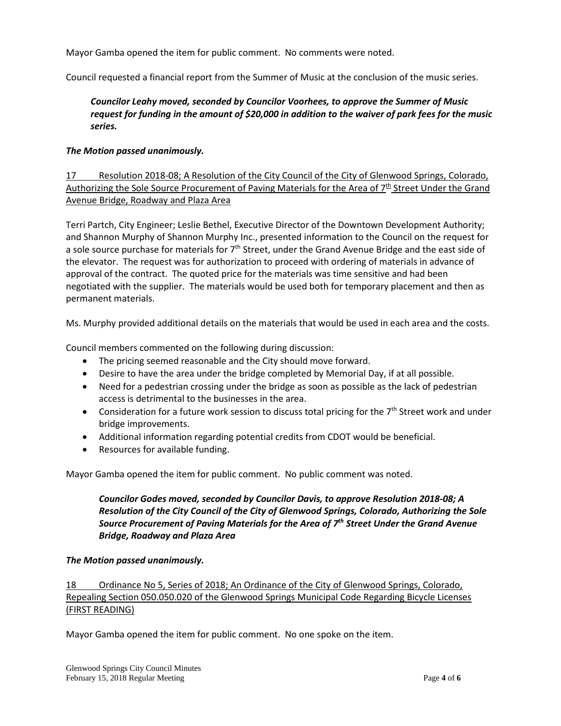Mayor Gamba opened the item for public comment. No comments were noted.

Council requested a financial report from the Summer of Music at the conclusion of the music series.

# *Councilor Leahy moved, seconded by Councilor Voorhees, to approve the Summer of Music request for funding in the amount of \$20,000 in addition to the waiver of park fees for the music series.*

## *The Motion passed unanimously.*

17 Resolution 2018-08; A Resolution of the City Council of the City of Glenwood Springs, Colorado, Authorizing the Sole Source Procurement of Paving Materials for the Area of  $7<sup>th</sup>$  Street Under the Grand Avenue Bridge, Roadway and Plaza Area

Terri Partch, City Engineer; Leslie Bethel, Executive Director of the Downtown Development Authority; and Shannon Murphy of Shannon Murphy Inc., presented information to the Council on the request for a sole source purchase for materials for 7<sup>th</sup> Street, under the Grand Avenue Bridge and the east side of the elevator. The request was for authorization to proceed with ordering of materials in advance of approval of the contract. The quoted price for the materials was time sensitive and had been negotiated with the supplier. The materials would be used both for temporary placement and then as permanent materials.

Ms. Murphy provided additional details on the materials that would be used in each area and the costs.

Council members commented on the following during discussion:

- The pricing seemed reasonable and the City should move forward.
- Desire to have the area under the bridge completed by Memorial Day, if at all possible.
- Need for a pedestrian crossing under the bridge as soon as possible as the lack of pedestrian access is detrimental to the businesses in the area.
- Consideration for a future work session to discuss total pricing for the  $7<sup>th</sup>$  Street work and under bridge improvements.
- Additional information regarding potential credits from CDOT would be beneficial.
- Resources for available funding.

Mayor Gamba opened the item for public comment. No public comment was noted.

*Councilor Godes moved, seconded by Councilor Davis, to approve Resolution 2018-08; A Resolution of the City Council of the City of Glenwood Springs, Colorado, Authorizing the Sole Source Procurement of Paving Materials for the Area of 7th Street Under the Grand Avenue Bridge, Roadway and Plaza Area*

## *The Motion passed unanimously.*

18 Ordinance No 5, Series of 2018; An Ordinance of the City of Glenwood Springs, Colorado, Repealing Section 050.050.020 of the Glenwood Springs Municipal Code Regarding Bicycle Licenses (FIRST READING)

Mayor Gamba opened the item for public comment. No one spoke on the item.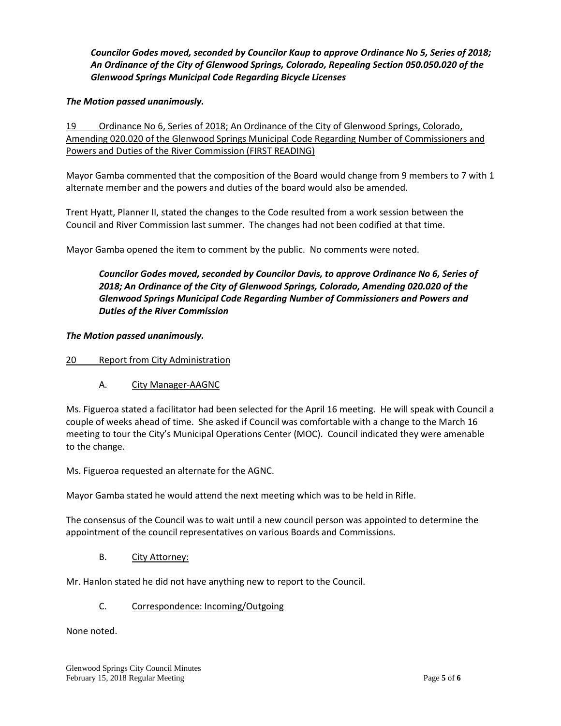*Councilor Godes moved, seconded by Councilor Kaup to approve Ordinance No 5, Series of 2018; An Ordinance of the City of Glenwood Springs, Colorado, Repealing Section 050.050.020 of the Glenwood Springs Municipal Code Regarding Bicycle Licenses*

## *The Motion passed unanimously.*

19 Ordinance No 6, Series of 2018; An Ordinance of the City of Glenwood Springs, Colorado, Amending 020.020 of the Glenwood Springs Municipal Code Regarding Number of Commissioners and Powers and Duties of the River Commission (FIRST READING)

Mayor Gamba commented that the composition of the Board would change from 9 members to 7 with 1 alternate member and the powers and duties of the board would also be amended.

Trent Hyatt, Planner II, stated the changes to the Code resulted from a work session between the Council and River Commission last summer. The changes had not been codified at that time.

Mayor Gamba opened the item to comment by the public. No comments were noted.

*Councilor Godes moved, seconded by Councilor Davis, to approve Ordinance No 6, Series of 2018; An Ordinance of the City of Glenwood Springs, Colorado, Amending 020.020 of the Glenwood Springs Municipal Code Regarding Number of Commissioners and Powers and Duties of the River Commission*

## *The Motion passed unanimously.*

- 20 Report from City Administration
	- A. City Manager-AAGNC

Ms. Figueroa stated a facilitator had been selected for the April 16 meeting. He will speak with Council a couple of weeks ahead of time. She asked if Council was comfortable with a change to the March 16 meeting to tour the City's Municipal Operations Center (MOC). Council indicated they were amenable to the change.

Ms. Figueroa requested an alternate for the AGNC.

Mayor Gamba stated he would attend the next meeting which was to be held in Rifle.

The consensus of the Council was to wait until a new council person was appointed to determine the appointment of the council representatives on various Boards and Commissions.

## B. City Attorney:

Mr. Hanlon stated he did not have anything new to report to the Council.

## C. Correspondence: Incoming/Outgoing

None noted.